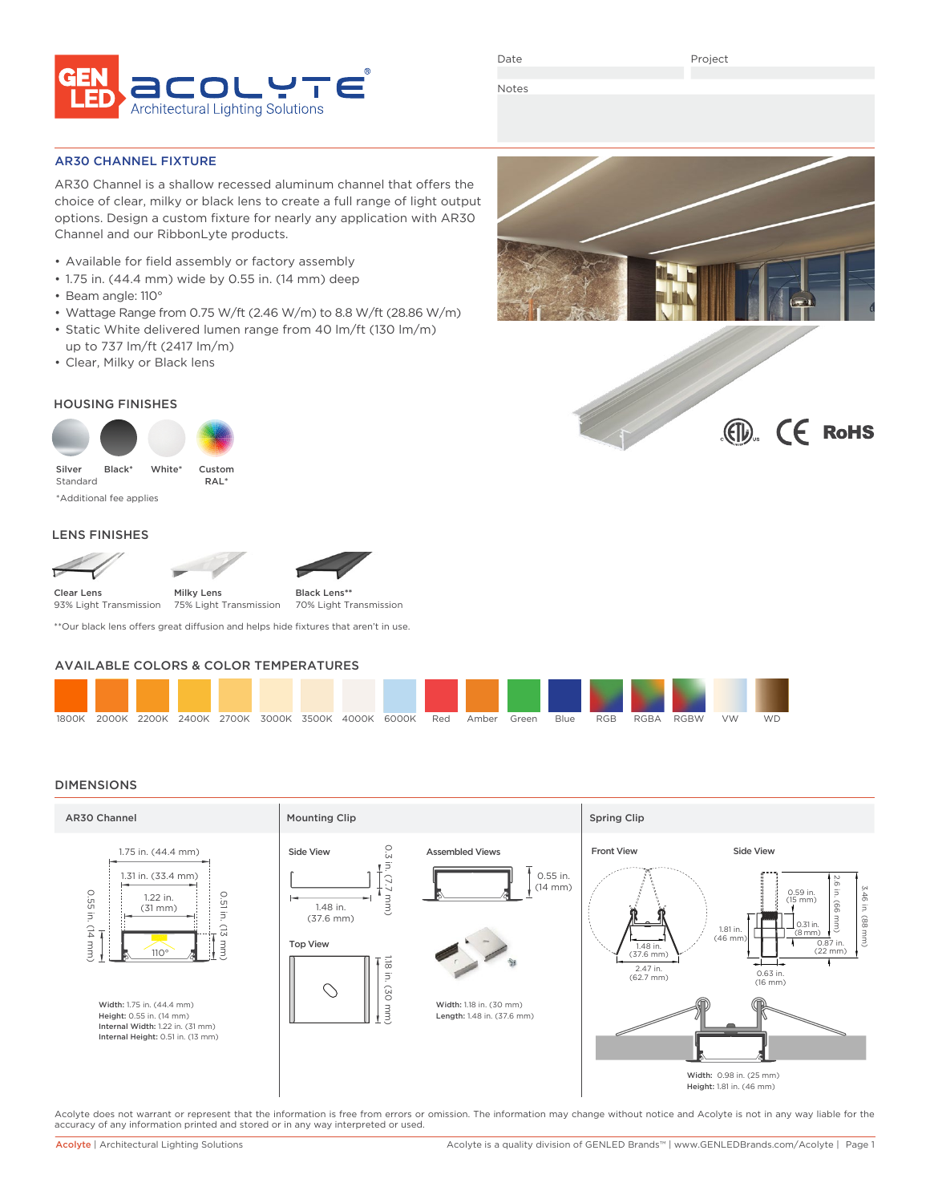

Date

Project

Notes

# AR30 CHANNEL FIXTURE

AR30 Channel is a shallow recessed aluminum channel that offers the choice of clear, milky or black lens to create a full range of light output options. Design a custom fixture for nearly any application with AR30 Channel and our RibbonLyte products.

- Available for field assembly or factory assembly
- 1.75 in. (44.4 mm) wide by 0.55 in. (14 mm) deep
- Beam angle: 110°
- Wattage Range from 0.75 W/ft (2.46 W/m) to 8.8 W/ft (28.86 W/m)
- Static White delivered lumen range from 40 lm/ft (130 lm/m) up to 737 lm/ft (2417 lm/m)
- Clear, Milky or Black lens

# HOUSING FINISHES



Standard \*Additional fee applies

# LENS FINISHES



\*\*Our black lens offers great diffusion and helps hide fixtures that aren't in use.

# AVAILABLE COLORS & COLOR TEMPERATURES



## DIMENSIONS



Acolyte does not warrant or represent that the information is free from errors or omission. The information may change without notice and Acolyte is not in any way liable for the accuracy of any information printed and stored or in any way interpreted or used.



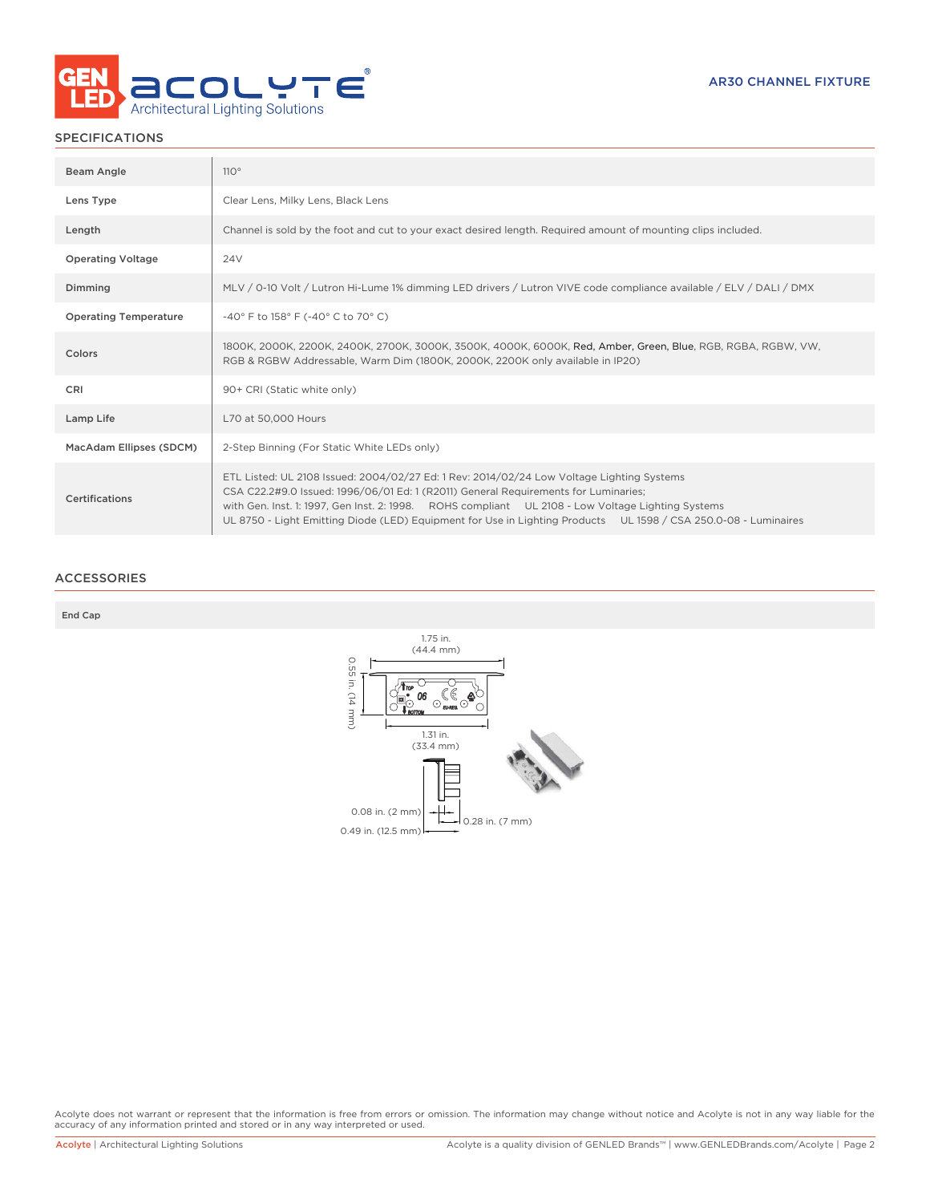

# SPECIFICATIONS

| Beam Angle                   | 110°                                                                                                                                                                                                                                                                                                                                                                                                     |
|------------------------------|----------------------------------------------------------------------------------------------------------------------------------------------------------------------------------------------------------------------------------------------------------------------------------------------------------------------------------------------------------------------------------------------------------|
| Lens Type                    | Clear Lens, Milky Lens, Black Lens                                                                                                                                                                                                                                                                                                                                                                       |
| Length                       | Channel is sold by the foot and cut to your exact desired length. Required amount of mounting clips included.                                                                                                                                                                                                                                                                                            |
| <b>Operating Voltage</b>     | 24V                                                                                                                                                                                                                                                                                                                                                                                                      |
| Dimming                      | MLV / 0-10 Volt / Lutron Hi-Lume 1% dimming LED drivers / Lutron VIVE code compliance available / ELV / DALI / DMX                                                                                                                                                                                                                                                                                       |
| <b>Operating Temperature</b> | -40° F to 158° F (-40° C to 70° C)                                                                                                                                                                                                                                                                                                                                                                       |
| Colors                       | 1800K, 2000K, 2200K, 2400K, 2700K, 3000K, 3500K, 4000K, 6000K, Red, Amber, Green, Blue, RGB, RGBA, RGBW, VW,<br>RGB & RGBW Addressable, Warm Dim (1800K, 2000K, 2200K only available in IP20)                                                                                                                                                                                                            |
| <b>CRI</b>                   | 90+ CRI (Static white only)                                                                                                                                                                                                                                                                                                                                                                              |
| Lamp Life                    | L70 at 50,000 Hours                                                                                                                                                                                                                                                                                                                                                                                      |
| MacAdam Ellipses (SDCM)      | 2-Step Binning (For Static White LEDs only)                                                                                                                                                                                                                                                                                                                                                              |
| Certifications               | ETL Listed: UL 2108 Issued: 2004/02/27 Ed: 1 Rev: 2014/02/24 Low Voltage Lighting Systems<br>CSA C22.2#9.0 Issued: 1996/06/01 Ed: 1 (R2011) General Requirements for Luminaries;<br>with Gen. Inst. 1: 1997, Gen Inst. 2: 1998. ROHS compliant UL 2108 - Low Voltage Lighting Systems<br>UL 8750 - Light Emitting Diode (LED) Equipment for Use in Lighting Products UL 1598 / CSA 250.0-08 - Luminaires |

# ACCESSORIES

End Cap



Acolyte does not warrant or represent that the information is free from errors or omission. The information may change without notice and Acolyte is not in any way liable for the<br>accuracy of any information printed and sto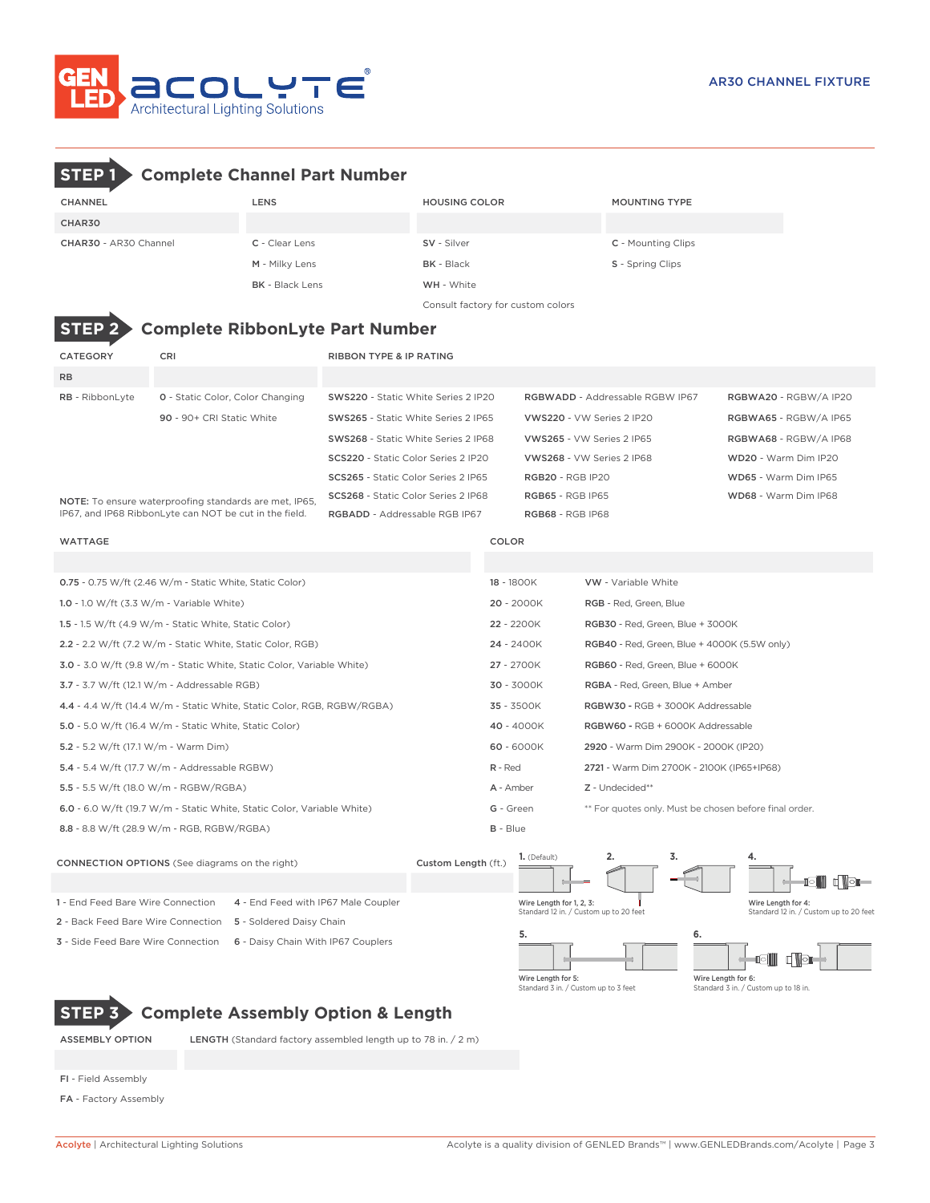

# **STEP 1 Complete Channel Part Number**

| CHANNEL               | <b>LENS</b>            | <b>HOUSING COLOR</b>              | <b>MOUNTING TYPE</b> |  |  |  |  |  |
|-----------------------|------------------------|-----------------------------------|----------------------|--|--|--|--|--|
| CHAR30                |                        |                                   |                      |  |  |  |  |  |
| CHAR30 - AR30 Channel | C - Clear Lens         | SV - Silver                       | C - Mounting Clips   |  |  |  |  |  |
|                       | M - Milky Lens         | <b>BK</b> - Black                 | S - Spring Clips     |  |  |  |  |  |
|                       | <b>BK</b> - Black Lens | WH - White                        |                      |  |  |  |  |  |
|                       |                        | Consult factory for custom colors |                      |  |  |  |  |  |

# **STEP 2 Complete RibbonLyte Part Number**

| <b>CATEGORY</b>                                                                                                  | CRI                                     | <b>RIBBON TYPE &amp; IP RATING</b>         |                                        |                       |  |
|------------------------------------------------------------------------------------------------------------------|-----------------------------------------|--------------------------------------------|----------------------------------------|-----------------------|--|
| <b>RB</b>                                                                                                        |                                         |                                            |                                        |                       |  |
| <b>RB</b> - RibbonLyte                                                                                           | <b>0</b> - Static Color, Color Changing | SWS220 - Static White Series 2 IP20        | <b>RGBWADD - Addressable RGBW IP67</b> | RGBWA20 - RGBW/A IP20 |  |
|                                                                                                                  | $90 - 90 + CRI$ Static White            | SWS265 - Static White Series 2 IP65        | VWS220 - VW Series 2 IP20              | RGBWA65 - RGBW/A IP65 |  |
|                                                                                                                  |                                         | SWS268 - Static White Series 2 IP68        | VWS265 - VW Series 2 IP65              | RGBWA68 - RGBW/A IP68 |  |
|                                                                                                                  |                                         | SCS220 - Static Color Series 2 IP20        | VWS268 - VW Series 2 IP68              | WD20 - Warm Dim IP20  |  |
|                                                                                                                  |                                         | <b>SCS265</b> - Static Color Series 2 IP65 | <b>RGB20 - RGB IP20</b>                | WD65 - Warm Dim IP65  |  |
| NOTE: To ensure waterproofing standards are met, IP65,<br>IP67, and IP68 RibbonLyte can NOT be cut in the field. |                                         | SCS268 - Static Color Series 2 IP68        | <b>RGB65 - RGB IP65</b>                | WD68 - Warm Dim IP68  |  |
|                                                                                                                  |                                         | <b>RGBADD - Addressable RGB IP67</b>       | <b>RGB68 - RGB IP68</b>                |                       |  |

| <b>WATTAGE</b>                                                         | COLOR      |                                                        |
|------------------------------------------------------------------------|------------|--------------------------------------------------------|
|                                                                        |            |                                                        |
| 0.75 - 0.75 W/ft (2.46 W/m - Static White, Static Color)               | 18 - 1800K | <b>VW</b> - Variable White                             |
| 1.0 - 1.0 W/ft $(3.3 \text{ W/m} \cdot \text{Variable White})$         | 20 - 2000K | RGB - Red, Green, Blue                                 |
| 1.5 - 1.5 W/ft $(4.9 \text{ W/m}$ - Static White, Static Color)        | 22 - 2200K | RGB30 - Red, Green, Blue + 3000K                       |
| 2.2 - 2.2 W/ft (7.2 W/m - Static White, Static Color, RGB)             | 24 - 2400K | <b>RGB40</b> - Red, Green, Blue + 4000K (5.5W only)    |
| 3.0 - 3.0 W/ft (9.8 W/m - Static White, Static Color, Variable White)  | 27 - 2700K | RGB60 - Red, Green, Blue + 6000K                       |
| 3.7 - 3.7 W/ft (12.1 W/m - Addressable RGB)                            | 30 - 3000K | RGBA - Red, Green, Blue + Amber                        |
| 4.4 - 4.4 W/ft (14.4 W/m - Static White, Static Color, RGB, RGBW/RGBA) | 35 - 3500K | RGBW30 - RGB + 3000K Addressable                       |
| 5.0 - 5.0 W/ft (16.4 W/m - Static White, Static Color)                 | 40 - 4000K | RGBW60 - RGB + 6000K Addressable                       |
| 5.2 - 5.2 W/ft (17.1 W/m - Warm Dim)                                   | 60 - 6000K | 2920 - Warm Dim 2900K - 2000K (IP20)                   |
| 5.4 - 5.4 W/ft (17.7 W/m - Addressable RGBW)                           | R - Red    | 2721 - Warm Dim 2700K - 2100K (IP65+IP68)              |
| 5.5 - 5.5 W/ft (18.0 W/m - RGBW/RGBA)                                  | A - Amber  | Z - Undecided**                                        |
| 6.0 - 6.0 W/ft (19.7 W/m - Static White, Static Color, Variable White) | G - Green  | ** For quotes only. Must be chosen before final order. |
| 8.8 - 8.8 W/ft (28.9 W/m - RGB, RGBW/RGBA)                             | $B - Blue$ |                                                        |



**STEP 3 Complete Assembly Option & Length**

ASSEMBLY OPTION LENGTH (Standard factory assembled length up to 78 in. / 2 m)

- FI Field Assembly
- FA Factory Assembly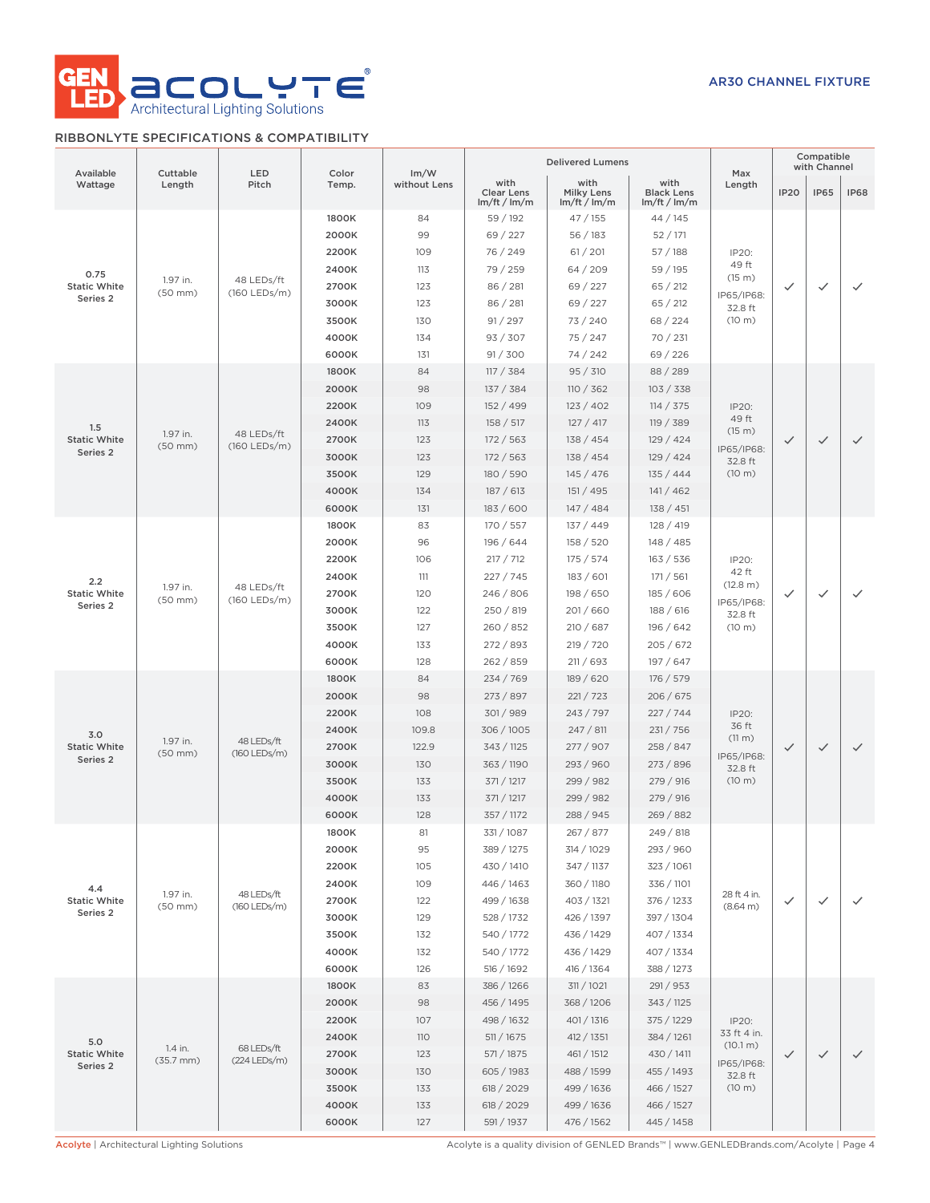

# RIBBONLYTE SPECIFICATIONS & COMPATIBILITY

|                                                                               |                          |                              |                |                      |                                         | <b>Delivered Lumens</b>                 |                                         |                             | Compatible<br>with Channel |              |              |  |  |  |  |  |  |  |  |  |  |  |       |     |            |            |            |  |  |  |  |
|-------------------------------------------------------------------------------|--------------------------|------------------------------|----------------|----------------------|-----------------------------------------|-----------------------------------------|-----------------------------------------|-----------------------------|----------------------------|--------------|--------------|--|--|--|--|--|--|--|--|--|--|--|-------|-----|------------|------------|------------|--|--|--|--|
| Available<br>Wattage                                                          | Cuttable<br>Length       | LED<br>Pitch                 | Color<br>Temp. | Im/W<br>without Lens | with<br><b>Clear Lens</b><br>Im/ft/Im/m | with<br><b>Milky Lens</b><br>Im/ft/Im/m | with<br><b>Black Lens</b><br>Im/ft/Im/m | Max<br>Length               | <b>IP20</b>                | <b>IP65</b>  | <b>IP68</b>  |  |  |  |  |  |  |  |  |  |  |  |       |     |            |            |            |  |  |  |  |
|                                                                               |                          |                              | 1800K          | 84                   | 59 / 192                                | 47/155                                  | 44/145                                  |                             |                            |              |              |  |  |  |  |  |  |  |  |  |  |  |       |     |            |            |            |  |  |  |  |
|                                                                               |                          |                              | 2000K          | 99                   | 69 / 227                                | 56/183                                  | 52/171                                  |                             |                            |              |              |  |  |  |  |  |  |  |  |  |  |  |       |     |            |            |            |  |  |  |  |
|                                                                               |                          |                              | 2200K          | 109                  | 76 / 249                                | 61 / 201                                | 57/188                                  | IP20:<br>49 ft              |                            |              |              |  |  |  |  |  |  |  |  |  |  |  |       |     |            |            |            |  |  |  |  |
| 0.75                                                                          | 1.97 in.                 | 48 LEDs/ft<br>$(160$ LEDs/m) |                | 2400K                | 113                                     | 79 / 259                                | 64 / 209                                | 59 / 195                    | (15 m)                     |              |              |  |  |  |  |  |  |  |  |  |  |  |       |     |            |            |            |  |  |  |  |
| <b>Static White</b><br>Series <sub>2</sub>                                    | $(50$ mm $)$             |                              | 2700K          | 123                  | 86 / 281                                | 69/227                                  | 65 / 212                                | IP65/IP68:                  | ✓                          | ✓            | $\checkmark$ |  |  |  |  |  |  |  |  |  |  |  |       |     |            |            |            |  |  |  |  |
|                                                                               |                          |                              | 3000K          | 123                  | 86 / 281                                | 69 / 227                                | 65 / 212                                | 32.8 ft                     |                            |              |              |  |  |  |  |  |  |  |  |  |  |  |       |     |            |            |            |  |  |  |  |
|                                                                               |                          |                              | 3500K          | 130                  | 91 / 297                                | 73 / 240                                | 68 / 224                                | $(10 \; \text{m})$          |                            |              |              |  |  |  |  |  |  |  |  |  |  |  |       |     |            |            |            |  |  |  |  |
|                                                                               |                          |                              | 4000K<br>6000K | 134<br>131           | 93 / 307<br>91 / 300                    | 75/247<br>74 / 242                      | 70/231<br>69/226                        |                             |                            |              |              |  |  |  |  |  |  |  |  |  |  |  |       |     |            |            |            |  |  |  |  |
|                                                                               |                          |                              | 1800K          | 84                   | 117 / 384                               | 95 / 310                                | 88/289                                  |                             |                            |              |              |  |  |  |  |  |  |  |  |  |  |  |       |     |            |            |            |  |  |  |  |
|                                                                               |                          |                              | 2000K          | 98                   | 137 / 384                               | 110 / 362                               | 103 / 338                               |                             |                            |              |              |  |  |  |  |  |  |  |  |  |  |  |       |     |            |            |            |  |  |  |  |
|                                                                               |                          |                              | 2200K          | 109                  | 152 / 499                               | 123 / 402                               | 114 / 375                               | IP20:                       |                            |              |              |  |  |  |  |  |  |  |  |  |  |  |       |     |            |            |            |  |  |  |  |
|                                                                               |                          |                              | 2400K          | 113                  | 158 / 517                               | 127/417                                 | 119 / 389                               | 49 ft                       |                            |              |              |  |  |  |  |  |  |  |  |  |  |  |       |     |            |            |            |  |  |  |  |
| 1.5<br><b>Static White</b>                                                    | 1.97 in.                 | 48 LEDs/ft                   | 2700K          | 123                  | 172/563                                 | 138 / 454                               | 129/424                                 | (15 m)                      | ✓                          | $\checkmark$ | $\checkmark$ |  |  |  |  |  |  |  |  |  |  |  |       |     |            |            |            |  |  |  |  |
| Series 2                                                                      | $(50$ mm $)$             | $(160$ LEDs/m)               | 3000K          | 123                  | 172/563                                 | 138 / 454                               | 129/424                                 | IP65/IP68:<br>32.8 ft       |                            |              |              |  |  |  |  |  |  |  |  |  |  |  |       |     |            |            |            |  |  |  |  |
|                                                                               |                          |                              | 3500K          | 129                  | 180/590                                 | 145 / 476                               | 135 / 444                               | (10 m)                      |                            |              |              |  |  |  |  |  |  |  |  |  |  |  |       |     |            |            |            |  |  |  |  |
|                                                                               |                          |                              | 4000K          | 134                  | 187/613                                 | 151 / 495                               | 141/462                                 |                             |                            |              |              |  |  |  |  |  |  |  |  |  |  |  |       |     |            |            |            |  |  |  |  |
|                                                                               |                          |                              | 6000K          | 131                  | 183/600                                 | 147/484                                 | 138 / 451                               |                             |                            |              |              |  |  |  |  |  |  |  |  |  |  |  |       |     |            |            |            |  |  |  |  |
|                                                                               |                          |                              | 1800K          | 83                   | 170 / 557                               | 137 / 449                               | 128/419                                 |                             |                            |              |              |  |  |  |  |  |  |  |  |  |  |  |       |     |            |            |            |  |  |  |  |
|                                                                               |                          |                              | 2000K          | 96                   | 196 / 644                               | 158/520                                 | 148 / 485                               |                             |                            |              |              |  |  |  |  |  |  |  |  |  |  |  |       |     |            |            |            |  |  |  |  |
| 2.2<br>1.97 in.<br><b>Static White</b><br>$(50$ mm $)$<br>Series <sub>2</sub> |                          | 2200K                        | 106            | 217 / 712            | 175/574                                 | 163 / 536                               | IP20:                                   |                             |                            |              |              |  |  |  |  |  |  |  |  |  |  |  |       |     |            |            |            |  |  |  |  |
|                                                                               |                          |                              | 2400K          | 111                  | 227/745                                 | 183/601                                 | 171 / 561                               | 42 ft<br>(12.8 m)           |                            |              |              |  |  |  |  |  |  |  |  |  |  |  |       |     |            |            |            |  |  |  |  |
|                                                                               |                          | 48 LEDs/ft<br>(160 LEDs/m)   | 2700K          | 120                  | 246 / 806                               | 198/650                                 | 185/606                                 | IP65/IP68:                  | ✓                          | ✓            | ✓            |  |  |  |  |  |  |  |  |  |  |  |       |     |            |            |            |  |  |  |  |
|                                                                               |                          |                              | 3000K          | 122                  | 250 / 819                               | 201/660                                 | 188/616                                 | 32.8 ft                     |                            |              |              |  |  |  |  |  |  |  |  |  |  |  |       |     |            |            |            |  |  |  |  |
|                                                                               |                          |                              | 3500K          | 127                  | 260 / 852                               | 210/687                                 | 196/642                                 | (10 m)                      |                            |              |              |  |  |  |  |  |  |  |  |  |  |  |       |     |            |            |            |  |  |  |  |
|                                                                               |                          |                              | 4000K          | 133                  | 272 / 893                               | 219 / 720                               | 205/672                                 |                             |                            |              |              |  |  |  |  |  |  |  |  |  |  |  |       |     |            |            |            |  |  |  |  |
|                                                                               |                          |                              | 6000K          | 128                  | 262/859                                 | 211 / 693                               | 197 / 647                               |                             |                            |              |              |  |  |  |  |  |  |  |  |  |  |  |       |     |            |            |            |  |  |  |  |
|                                                                               |                          | 48 LEDs/ft<br>$(160$ LEDs/m) | 1800K          | 84                   | 234 / 769                               | 189 / 620                               | 176 / 579                               |                             |                            |              |              |  |  |  |  |  |  |  |  |  |  |  |       |     |            |            |            |  |  |  |  |
|                                                                               |                          |                              | 2000K          | 98                   | 273 / 897                               | 221 / 723                               | 206/675                                 |                             |                            |              |              |  |  |  |  |  |  |  |  |  |  |  |       |     |            |            |            |  |  |  |  |
|                                                                               |                          |                              | 2200K          | 108                  | 301/989                                 | 243 / 797                               | 227/744                                 | IP20:<br>36 ft              |                            |              |              |  |  |  |  |  |  |  |  |  |  |  |       |     |            |            |            |  |  |  |  |
| 3.0                                                                           | 1.97 in.                 |                              | 2400K          | 109.8                | 306/1005                                | 247 / 811                               | 231 / 756                               | (11 m)                      |                            |              |              |  |  |  |  |  |  |  |  |  |  |  |       |     |            |            |            |  |  |  |  |
| <b>Static White</b><br>Series 2                                               | $(50$ mm $)$             |                              | 2700K<br>3000K | 122.9<br>130         | 343 / 1125<br>363 / 1190                | 277 / 907<br>293 / 960                  | 258 / 847                               | IP65/IP68:                  | $\checkmark$               | $\checkmark$ | $\checkmark$ |  |  |  |  |  |  |  |  |  |  |  |       |     |            |            |            |  |  |  |  |
|                                                                               |                          |                              | 3500K          | 133                  | 371 / 1217                              | 299 / 982                               | 273/896<br>279/916                      | 32.8 ft<br>$(10 \text{ m})$ |                            |              |              |  |  |  |  |  |  |  |  |  |  |  |       |     |            |            |            |  |  |  |  |
|                                                                               |                          |                              | 4000K          | 133                  | 371 / 1217                              | 299 / 982                               | 279/916                                 |                             |                            |              |              |  |  |  |  |  |  |  |  |  |  |  |       |     |            |            |            |  |  |  |  |
|                                                                               |                          |                              | 6000K          | 128                  | 357 / 1172                              | 288 / 945                               | 269 / 882                               |                             |                            |              |              |  |  |  |  |  |  |  |  |  |  |  |       |     |            |            |            |  |  |  |  |
|                                                                               |                          |                              | 1800K          | 81                   | 331/1087                                | 267 / 877                               | 249 / 818                               |                             |                            |              |              |  |  |  |  |  |  |  |  |  |  |  |       |     |            |            |            |  |  |  |  |
|                                                                               |                          |                              | 2000K          | 95                   | 389 / 1275                              | 314 / 1029                              | 293 / 960                               |                             |                            |              |              |  |  |  |  |  |  |  |  |  |  |  |       |     |            |            |            |  |  |  |  |
|                                                                               |                          |                              | 2200K          | 105                  | 430 / 1410                              | 347 / 1137                              | 323 / 1061                              |                             |                            |              |              |  |  |  |  |  |  |  |  |  |  |  |       |     |            |            |            |  |  |  |  |
| 4.4                                                                           |                          |                              | 2400K          | 109                  | 446 / 1463                              | 360 / 1180                              | 336 / 1101                              |                             |                            |              |              |  |  |  |  |  |  |  |  |  |  |  |       |     |            |            |            |  |  |  |  |
| <b>Static White</b>                                                           | 1.97 in.<br>$(50$ mm $)$ | 48 LEDs/ft                   | 2700K          | 122                  | 499 / 1638                              | 403 / 1321                              | 376 / 1233                              | 28 ft 4 in.<br>(8.64 m)     | $\checkmark$               | $\checkmark$ | ✓            |  |  |  |  |  |  |  |  |  |  |  |       |     |            |            |            |  |  |  |  |
| Series 2                                                                      |                          | (160 LEDs/m)                 | 3000K          | 129                  | 528 / 1732                              | 426 / 1397                              | 397 / 1304                              |                             |                            |              |              |  |  |  |  |  |  |  |  |  |  |  |       |     |            |            |            |  |  |  |  |
|                                                                               |                          |                              | 3500K          | 132                  | 540 / 1772                              | 436 / 1429                              | 407 / 1334                              |                             |                            |              |              |  |  |  |  |  |  |  |  |  |  |  |       |     |            |            |            |  |  |  |  |
|                                                                               |                          |                              | 4000K          | 132                  | 540 / 1772                              | 436 / 1429                              | 407 / 1334                              |                             |                            |              |              |  |  |  |  |  |  |  |  |  |  |  |       |     |            |            |            |  |  |  |  |
|                                                                               |                          |                              | 6000K          | 126                  | 516 / 1692                              | 416 / 1364                              | 388 / 1273                              |                             |                            |              |              |  |  |  |  |  |  |  |  |  |  |  |       |     |            |            |            |  |  |  |  |
|                                                                               |                          |                              | 1800K          | 83                   | 386 / 1266                              | 311 / 1021                              | 291 / 953                               |                             |                            |              |              |  |  |  |  |  |  |  |  |  |  |  |       |     |            |            |            |  |  |  |  |
|                                                                               |                          |                              | 2000K          | 98                   | 456 / 1495                              | 368 / 1206                              | 343 / 1125                              |                             |                            |              |              |  |  |  |  |  |  |  |  |  |  |  |       |     |            |            |            |  |  |  |  |
|                                                                               |                          |                              | 2200K          | 107                  | 498 / 1632                              | 401/1316                                | 375 / 1229                              | IP20:                       |                            |              |              |  |  |  |  |  |  |  |  |  |  |  |       |     |            |            |            |  |  |  |  |
| 5.0                                                                           | 1.4 in.                  | 68 LEDs/ft                   | 2400K          | 110                  | 511/1675                                | 412 / 1351                              | 384 / 1261                              | 33 ft 4 in.<br>(10.1 m)     |                            |              |              |  |  |  |  |  |  |  |  |  |  |  |       |     |            |            |            |  |  |  |  |
| <b>Static White</b><br>Series 2                                               | $(35.7$ mm $)$           | (224 LEDs/m)                 | 2700K          | 123                  | 571/1875                                | 461 / 1512                              | 430 / 1411                              | IP65/IP68:                  | $\checkmark$               | $\checkmark$ | $\checkmark$ |  |  |  |  |  |  |  |  |  |  |  |       |     |            |            |            |  |  |  |  |
|                                                                               |                          |                              | 3000K          | 130                  | 605 / 1983                              | 488 / 1599                              | 455 / 1493                              | 32.8 ft                     |                            |              |              |  |  |  |  |  |  |  |  |  |  |  |       |     |            |            |            |  |  |  |  |
|                                                                               |                          |                              | 3500K          | 133                  | 618 / 2029                              | 499 / 1636                              | 466 / 1527                              | (10 m)                      |                            |              |              |  |  |  |  |  |  |  |  |  |  |  |       |     |            |            |            |  |  |  |  |
|                                                                               |                          |                              |                |                      |                                         |                                         |                                         |                             |                            |              |              |  |  |  |  |  |  |  |  |  |  |  | 4000K | 133 | 618 / 2029 | 499 / 1636 | 466 / 1527 |  |  |  |  |
|                                                                               |                          |                              | 6000K          | 127                  | 591 / 1937                              | 476 / 1562                              | 445 / 1458                              |                             |                            |              |              |  |  |  |  |  |  |  |  |  |  |  |       |     |            |            |            |  |  |  |  |

Acolyte | Architectural Lighting Solutions Acolyte is a quality division of GENLED Brands™ | www.GENLEDBrands.com/Acolyte | Page 4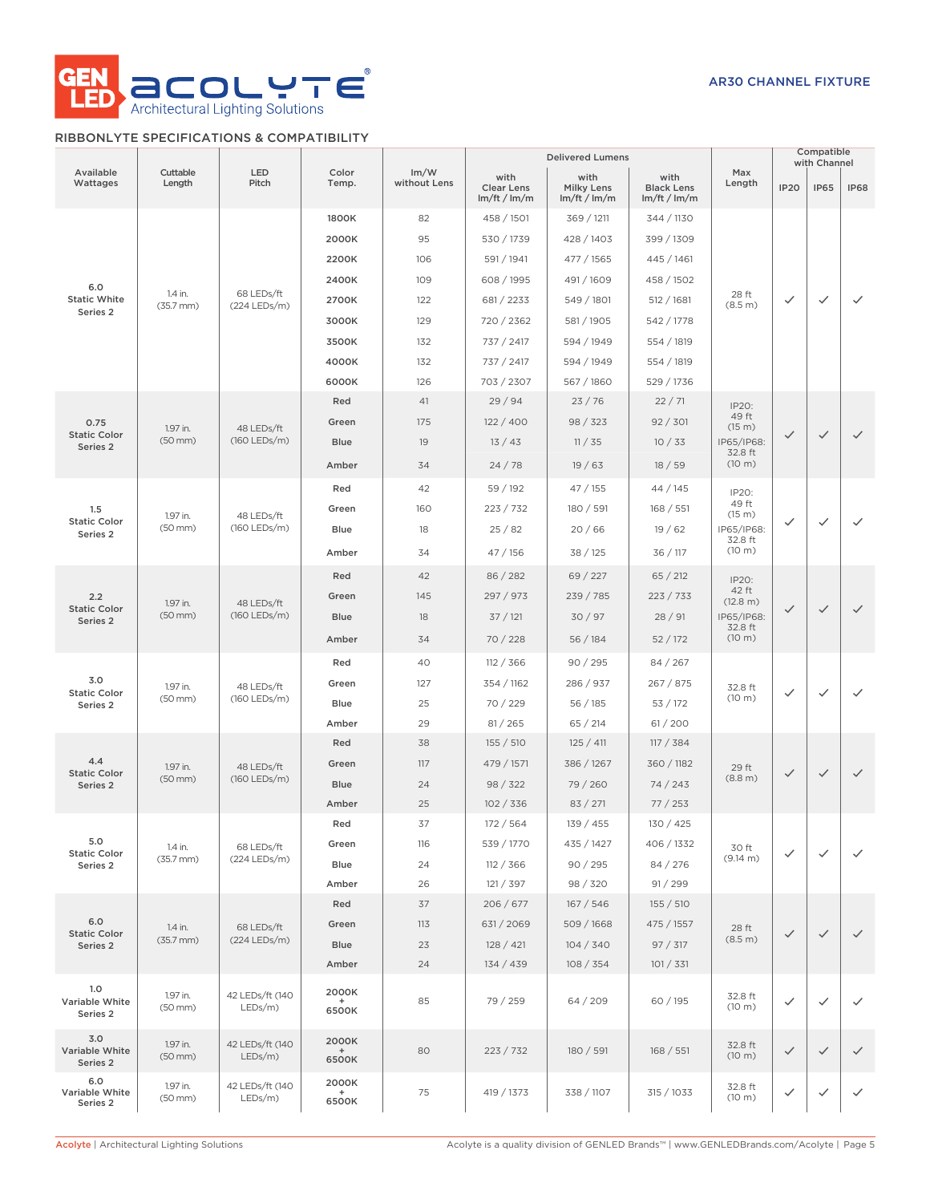

# RIBBONLYTE SPECIFICATIONS & COMPATIBILITY

|                                              |                           |                               |                       |                      |                                         | <b>Delivered Lumens</b>                 |                                         |                   | Compatible<br>with Channel |              |              |              |              |              |              |  |  |  |  |  |  |  |  |  |  |  |  |  |      |    |          |        |        |        |              |              |
|----------------------------------------------|---------------------------|-------------------------------|-----------------------|----------------------|-----------------------------------------|-----------------------------------------|-----------------------------------------|-------------------|----------------------------|--------------|--------------|--------------|--------------|--------------|--------------|--|--|--|--|--|--|--|--|--|--|--|--|--|------|----|----------|--------|--------|--------|--------------|--------------|
| Available<br>Wattages                        | Cuttable<br>Length        | LED<br>Pitch                  | Color<br>Temp.        | Im/W<br>without Lens | with<br><b>Clear Lens</b><br>Im/ft/Im/m | with<br><b>Milky Lens</b><br>Im/ft/Im/m | with<br><b>Black Lens</b><br>Im/ft/Im/m | Max<br>Length     | <b>IP20</b>                | <b>IP65</b>  | <b>IP68</b>  |              |              |              |              |  |  |  |  |  |  |  |  |  |  |  |  |  |      |    |          |        |        |        |              |              |
|                                              |                           |                               | 1800K                 | 82                   | 458 / 1501                              | 369 / 1211                              | 344 / 1130                              |                   |                            |              |              |              |              |              |              |  |  |  |  |  |  |  |  |  |  |  |  |  |      |    |          |        |        |        |              |              |
|                                              |                           |                               | 2000K                 | 95                   | 530 / 1739                              | 428 / 1403                              | 399 / 1309                              |                   |                            |              |              |              |              |              |              |  |  |  |  |  |  |  |  |  |  |  |  |  |      |    |          |        |        |        |              |              |
|                                              |                           |                               | 2200K                 | 106                  | 591 / 1941                              | 477 / 1565                              | 445 / 1461                              |                   |                            |              |              |              |              |              |              |  |  |  |  |  |  |  |  |  |  |  |  |  |      |    |          |        |        |        |              |              |
| 6.0                                          |                           |                               | 2400K                 | 109                  | 608 / 1995                              | 491 / 1609                              | 458 / 1502                              |                   |                            |              |              |              |              |              |              |  |  |  |  |  |  |  |  |  |  |  |  |  |      |    |          |        |        |        |              |              |
| <b>Static White</b>                          | 1.4 in.<br>$(35.7$ mm $)$ | 68 LEDs/ft<br>$(224$ LEDs/m)  | 2700K                 | 122                  | 681 / 2233                              | 549 / 1801                              | 512 / 1681                              | 28 ft<br>(8.5 m)  | $\checkmark$               | $\checkmark$ | $\checkmark$ |              |              |              |              |  |  |  |  |  |  |  |  |  |  |  |  |  |      |    |          |        |        |        |              |              |
| Series 2                                     |                           |                               | 3000K                 | 129                  | 720 / 2362                              | 581 / 1905                              | 542 / 1778                              |                   |                            |              |              |              |              |              |              |  |  |  |  |  |  |  |  |  |  |  |  |  |      |    |          |        |        |        |              |              |
|                                              |                           |                               | 3500K                 | 132                  | 737 / 2417                              | 594 / 1949                              | 554 / 1819                              |                   |                            |              |              |              |              |              |              |  |  |  |  |  |  |  |  |  |  |  |  |  |      |    |          |        |        |        |              |              |
|                                              |                           |                               | 4000K                 | 132                  | 737 / 2417                              | 594 / 1949                              | 554 / 1819                              |                   |                            |              |              |              |              |              |              |  |  |  |  |  |  |  |  |  |  |  |  |  |      |    |          |        |        |        |              |              |
|                                              |                           |                               | 6000K                 | 126                  | 703 / 2307                              | 567 / 1860                              | 529 / 1736                              |                   |                            |              |              |              |              |              |              |  |  |  |  |  |  |  |  |  |  |  |  |  |      |    |          |        |        |        |              |              |
|                                              |                           |                               | Red                   | 41                   | 29/94                                   | 23/76                                   | 22/71                                   | IP20:             |                            |              |              |              |              |              |              |  |  |  |  |  |  |  |  |  |  |  |  |  |      |    |          |        |        |        |              |              |
| 0.75                                         | 1.97 in.                  |                               | Green                 | 175                  | 122/400                                 | 98 / 323                                | 92 / 301                                | 49 ft<br>(15 m)   |                            |              |              |              |              |              |              |  |  |  |  |  |  |  |  |  |  |  |  |  |      |    |          |        |        |        |              |              |
| <b>Static Color</b><br>Series <sub>2</sub>   | $(50$ mm $)$              | 48 LEDs/ft<br>(160 LEDs/m)    | <b>Blue</b>           | 19                   | 13/43                                   | 11 / 35                                 | 10/33                                   | IP65/IP68:        | $\checkmark$               | $\checkmark$ | $\checkmark$ |              |              |              |              |  |  |  |  |  |  |  |  |  |  |  |  |  |      |    |          |        |        |        |              |              |
|                                              |                           |                               | Amber                 | 34                   | 24/78                                   | 19/63                                   | 18/59                                   | 32.8 ft<br>(10 m) |                            |              |              |              |              |              |              |  |  |  |  |  |  |  |  |  |  |  |  |  |      |    |          |        |        |        |              |              |
|                                              |                           |                               | Red                   | 42                   | 59 / 192                                | 47/155                                  | 44 / 145                                | IP20:             |                            |              |              |              |              |              |              |  |  |  |  |  |  |  |  |  |  |  |  |  |      |    |          |        |        |        |              |              |
| 1.5                                          | 1.97 in.                  | 48 LEDs/ft                    | Green                 | 160                  | 223 / 732                               | 180 / 591                               | 168 / 551                               | 49 ft<br>(15 m)   |                            |              |              |              |              |              |              |  |  |  |  |  |  |  |  |  |  |  |  |  |      |    |          |        |        |        |              |              |
| <b>Static Color</b><br>Series <sub>2</sub>   | $(50$ mm $)$              | (160 LEDs/m)                  |                       | Blue                 | 18                                      | 25/82                                   | 20/66                                   | 19/62             | IP65/IP68:<br>32.8 ft      | ✓            | $\checkmark$ | $\checkmark$ |              |              |              |  |  |  |  |  |  |  |  |  |  |  |  |  |      |    |          |        |        |        |              |              |
|                                              |                           | Amber                         | 34                    | 47 / 156             | 38 / 125                                | 36 / 117                                | (10 m)                                  |                   |                            |              |              |              |              |              |              |  |  |  |  |  |  |  |  |  |  |  |  |  |      |    |          |        |        |        |              |              |
|                                              |                           |                               | Red                   | 42                   | 86 / 282                                | 69/227                                  | 65 / 212                                | IP20:             |                            |              |              |              |              |              |              |  |  |  |  |  |  |  |  |  |  |  |  |  |      |    |          |        |        |        |              |              |
| 2.2                                          | 1.97 in.                  | 48 LEDs/ft                    | Green                 | 145                  | 297 / 973                               | 239 / 785                               | 223 / 733                               | 42 ft<br>(12.8 m) |                            |              |              |              |              |              |              |  |  |  |  |  |  |  |  |  |  |  |  |  |      |    |          |        |        |        |              |              |
| <b>Static Color</b><br>Series <sub>2</sub>   | $(50$ mm $)$              | (160 LEDs/m)                  |                       |                      |                                         |                                         | <b>Blue</b>                             | 18                | 37/121                     | 30 / 97      | 28/91        | IP65/IP68:   | $\checkmark$ | $\checkmark$ | $\checkmark$ |  |  |  |  |  |  |  |  |  |  |  |  |  |      |    |          |        |        |        |              |              |
|                                              |                           |                               | Amber                 | 34                   | 70/228                                  | 56/184                                  | 52/172                                  | 32.8 ft<br>(10 m) |                            |              |              |              |              |              |              |  |  |  |  |  |  |  |  |  |  |  |  |  |      |    |          |        |        |        |              |              |
|                                              |                           |                               | Red                   | 40                   | 112 / 366                               | 90/295                                  | 84 / 267                                |                   |                            |              |              |              |              |              |              |  |  |  |  |  |  |  |  |  |  |  |  |  |      |    |          |        |        |        |              |              |
| 3.0                                          | 1.97 in.<br>$(50$ mm $)$  | 48 LEDs/ft                    | Green                 | 127                  | 354 / 1162                              | 286 / 937                               | 267 / 875                               | 32.8 ft           |                            |              |              |              |              |              |              |  |  |  |  |  |  |  |  |  |  |  |  |  |      |    |          |        |        |        |              |              |
| <b>Static Color</b><br>Series 2              |                           | (160 LEDs/m)                  |                       |                      |                                         |                                         |                                         |                   |                            |              |              |              |              |              |              |  |  |  |  |  |  |  |  |  |  |  |  |  | Blue | 25 | 70 / 229 | 56/185 | 53/172 | (10 m) | $\checkmark$ | $\checkmark$ |
|                                              |                           |                               | Amber                 | 29                   | 81 / 265                                | 65/214                                  | 61/200                                  |                   |                            |              |              |              |              |              |              |  |  |  |  |  |  |  |  |  |  |  |  |  |      |    |          |        |        |        |              |              |
|                                              |                           |                               | Red                   | 38                   | 155 / 510                               | 125 / 411                               | 117 / 384                               |                   |                            |              |              |              |              |              |              |  |  |  |  |  |  |  |  |  |  |  |  |  |      |    |          |        |        |        |              |              |
| 4.4                                          | 1.97 in.                  | 48 LEDs/ft<br>(160 LEDs/m)    | Green                 | 117                  | 479 / 1571                              | 386 / 1267                              | 360 / 1182                              | 29 ft             |                            |              |              |              |              |              |              |  |  |  |  |  |  |  |  |  |  |  |  |  |      |    |          |        |        |        |              |              |
| <b>Static Color</b><br>Series 2              | $(50$ mm $)$              |                               | <b>Blue</b>           | 24                   | 98 / 322                                | 79 / 260                                | 74/243                                  | (8.8 m)           | $\checkmark$               | $\checkmark$ | $\checkmark$ |              |              |              |              |  |  |  |  |  |  |  |  |  |  |  |  |  |      |    |          |        |        |        |              |              |
|                                              |                           |                               | Amber                 | 25                   | 102 / 336                               | 83 / 271                                | 77/253                                  |                   |                            |              |              |              |              |              |              |  |  |  |  |  |  |  |  |  |  |  |  |  |      |    |          |        |        |        |              |              |
|                                              |                           |                               | Red                   | 37                   | 172/564                                 | 139 / 455                               | 130 / 425                               |                   |                            |              |              |              |              |              |              |  |  |  |  |  |  |  |  |  |  |  |  |  |      |    |          |        |        |        |              |              |
| 5.0<br><b>Static Color</b>                   | 1.4 in.                   | 68 LEDs/ft                    | Green                 | 116                  | 539 / 1770                              | 435 / 1427                              | 406 / 1332                              | 30 ft             | $\checkmark$               | $\checkmark$ | $\checkmark$ |              |              |              |              |  |  |  |  |  |  |  |  |  |  |  |  |  |      |    |          |        |        |        |              |              |
| Series 2                                     | $(35.7$ mm $)$            | (224 LEDs/m)                  | Blue                  | 24                   | 112 / 366                               | 90 / 295                                | 84 / 276                                | (9.14 m)          |                            |              |              |              |              |              |              |  |  |  |  |  |  |  |  |  |  |  |  |  |      |    |          |        |        |        |              |              |
|                                              |                           |                               | Amber                 | 26                   | 121 / 397                               | 98 / 320                                | 91 / 299                                |                   |                            |              |              |              |              |              |              |  |  |  |  |  |  |  |  |  |  |  |  |  |      |    |          |        |        |        |              |              |
|                                              |                           |                               | Red                   | 37                   | 206/677                                 | 167/546                                 | 155 / 510                               |                   |                            |              |              |              |              |              |              |  |  |  |  |  |  |  |  |  |  |  |  |  |      |    |          |        |        |        |              |              |
| 6.0<br><b>Static Color</b>                   | 1.4 in.                   | 68 LEDs/ft                    | Green                 | 113                  | 631 / 2069                              | 509/1668                                | 475 / 1557                              | 28 ft             | $\checkmark$               | $\checkmark$ | $\checkmark$ |              |              |              |              |  |  |  |  |  |  |  |  |  |  |  |  |  |      |    |          |        |        |        |              |              |
| Series 2                                     | $(35.7 \, \text{mm})$     | $(224$ LEDs/m)                | Blue                  | 23                   | 128 / 421                               | 104 / 340                               | 97 / 317                                | (8.5 m)           |                            |              |              |              |              |              |              |  |  |  |  |  |  |  |  |  |  |  |  |  |      |    |          |        |        |        |              |              |
|                                              |                           |                               | Amber                 | 24                   | 134 / 439                               | 108 / 354                               | 101 / 331                               |                   |                            |              |              |              |              |              |              |  |  |  |  |  |  |  |  |  |  |  |  |  |      |    |          |        |        |        |              |              |
| 1.0<br>Variable White<br>Series <sub>2</sub> | 1.97 in.<br>(50 mm)       | 42 LEDs/ft (140<br>LEDs/m)    | 2000K<br>6500K        | 85                   | 79 / 259                                | 64 / 209                                | 60 / 195                                | 32.8 ft<br>(10 m) | $\checkmark$               | $\checkmark$ | $\checkmark$ |              |              |              |              |  |  |  |  |  |  |  |  |  |  |  |  |  |      |    |          |        |        |        |              |              |
| 3.0<br>Variable White<br>Series 2            | 1.97 in.<br>$(50$ mm $)$  | 42 LEDs/ft (140<br>$LEDs/m$ ) | 2000K<br>$+$<br>6500K | 80                   | 223 / 732                               | 180 / 591                               | 168 / 551                               | 32.8 ft<br>(10 m) | $\checkmark$               | $\checkmark$ | $\checkmark$ |              |              |              |              |  |  |  |  |  |  |  |  |  |  |  |  |  |      |    |          |        |        |        |              |              |
| 6.0<br>Variable White<br>Series 2            | 1.97 in.<br>$(50$ mm $)$  | 42 LEDs/ft (140<br>$LEDs/m$ ) | 2000K<br>$+$<br>6500K | 75                   | 419 / 1373                              | 338 / 1107                              | 315 / 1033                              | 32.8 ft<br>(10 m) | $\checkmark$               | $\checkmark$ | $\checkmark$ |              |              |              |              |  |  |  |  |  |  |  |  |  |  |  |  |  |      |    |          |        |        |        |              |              |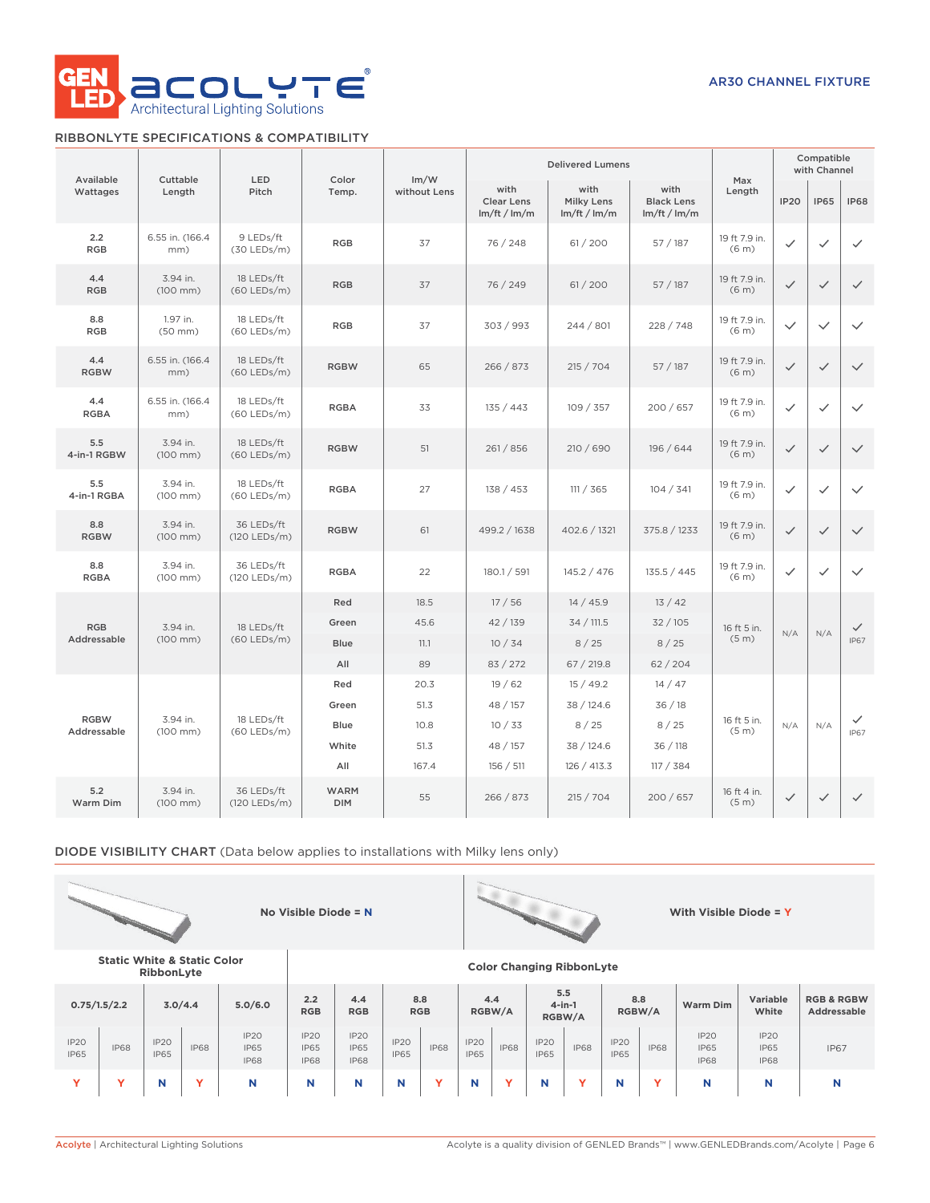

# RIBBONLYTE SPECIFICATIONS & COMPATIBILITY

| Available          | Cuttable                         | LED                         | Color                     | Im/W         |                                           | <b>Delivered Lumens</b>            |                                           | Max                                |              | Compatible<br>with Channel |              |  |
|--------------------|----------------------------------|-----------------------------|---------------------------|--------------|-------------------------------------------|------------------------------------|-------------------------------------------|------------------------------------|--------------|----------------------------|--------------|--|
| Wattages           | Length                           | Pitch                       | Temp.                     | without Lens | with<br><b>Clear Lens</b><br>Im/ft / Im/m | with<br>Milky Lens<br>Im/ft / Im/m | with<br><b>Black Lens</b><br>Im/ft / Im/m | Length                             | <b>IP20</b>  | <b>IP65</b>                | <b>IP68</b>  |  |
| 2.2<br><b>RGB</b>  | 6.55 in. (166.4)<br>mm)          | 9 LEDs/ft<br>$(30$ LEDs/m)  | <b>RGB</b>                | 37           | 76 / 248                                  | 61 / 200                           | 57 / 187                                  | 19 ft 7.9 in.<br>(6 <sub>m</sub> ) | ✓            | $\checkmark$               | $\checkmark$ |  |
| 4.4<br><b>RGB</b>  | 3.94 in.<br>$(100 \, \text{mm})$ | 18 LEDs/ft<br>$(60$ LEDs/m) | <b>RGB</b>                | 37           | 76 / 249                                  | 61/200                             | 57/187                                    | 19 ft 7.9 in.<br>(6 <sub>m</sub> ) | $\checkmark$ | $\checkmark$               | $\checkmark$ |  |
| 8.8<br><b>RGB</b>  | 1.97 in.<br>$(50$ mm $)$         | 18 LEDs/ft<br>$(60$ LEDs/m) | <b>RGB</b>                | 37           | 303 / 993                                 | 244 / 801                          | 228 / 748                                 | 19 ft 7.9 in.<br>(6 <sub>m</sub> ) | $\checkmark$ | $\checkmark$               | $\checkmark$ |  |
| 4.4<br><b>RGBW</b> | 6.55 in. (166.4)<br>mm)          | 18 LEDs/ft<br>$(60$ LEDs/m) | <b>RGBW</b>               | 65           | 266 / 873                                 | 215 / 704                          | 57/187                                    | 19 ft 7.9 in.<br>(6 <sub>m</sub> ) | $\checkmark$ | $\checkmark$               | $\checkmark$ |  |
| 4.4<br><b>RGBA</b> | 6.55 in. (166.4<br>mm)           | 18 LEDs/ft<br>$(60$ LEDs/m) | <b>RGBA</b>               | 33           | 135 / 443                                 | 109 / 357                          | 200 / 657                                 | 19 ft 7.9 in.<br>(6 <sub>m</sub> ) | $\checkmark$ | $\checkmark$               | $\checkmark$ |  |
| 5.5<br>4-in-1 RGBW | 3.94 in.<br>$(100$ mm $)$        | 18 LEDs/ft<br>$(60$ LEDs/m) | <b>RGBW</b>               | 51           | 261/856                                   | 210 / 690                          | 196 / 644                                 | 19 ft 7.9 in.<br>(6 <sub>m</sub> ) | $\checkmark$ | $\checkmark$               | $\checkmark$ |  |
| 5.5<br>4-in-1 RGBA | 3.94 in.<br>$(100$ mm $)$        | 18 LEDs/ft<br>$(60$ LEDs/m) | <b>RGBA</b>               | 27           | 138 / 453                                 | 111 / 365                          | 104 / 341                                 | 19 ft 7.9 in.<br>(6 <sub>m</sub> ) | $\checkmark$ | $\checkmark$               | $\checkmark$ |  |
| 8.8<br><b>RGBW</b> | 3.94 in.<br>$(100 \, \text{mm})$ | 36 LEDs/ft<br>(120 LEDs/m)  | <b>RGBW</b>               | 61           | 499.2 / 1638                              | 402.6 / 1321                       | 375.8 / 1233                              | 19 ft 7.9 in.<br>(6 <sub>m</sub> ) | $\checkmark$ | $\checkmark$               | $\checkmark$ |  |
| 8.8<br><b>RGBA</b> | 3.94 in.<br>(100 mm)             | 36 LEDs/ft<br>(120 LEDs/m)  | <b>RGBA</b>               | 22           | 180.1 / 591                               | 145.2 / 476                        | 135.5 / 445                               | 19 ft 7.9 in.<br>(6 <sub>m</sub> ) | $\checkmark$ | $\checkmark$               | $\checkmark$ |  |
|                    |                                  |                             | Red                       | 18.5         | 17/56                                     | 14/45.9                            | 13/42                                     |                                    |              |                            |              |  |
| <b>RGB</b>         | 3.94 in.                         | 18 LEDs/ft                  | Green                     | 45.6         | 42 / 139                                  | 34 / 111.5                         | 32/105                                    | 16 ft 5 in.                        | N/A          | N/A                        | $\checkmark$ |  |
| Addressable        | $(100$ mm $)$                    | $(60$ LEDs/m)               | Blue                      | 11.1         | 10/34                                     | 8/25                               | 8/25                                      | (5 <sub>m</sub> )                  |              |                            | <b>IP67</b>  |  |
|                    |                                  |                             | All                       | 89           | 83 / 272                                  | 67 / 219.8                         | 62/204                                    |                                    |              |                            |              |  |
|                    |                                  |                             | Red                       | 20.3         | 19/62                                     | 15/49.2                            | 14/47                                     |                                    |              |                            |              |  |
| <b>RGBW</b>        | 3.94 in.                         | 18 LEDs/ft                  | Green                     | 51.3         | 48 / 157                                  | 38 / 124.6                         | 36/18                                     | 16 ft 5 in.                        |              |                            | $\checkmark$ |  |
| Addressable        | $(100$ mm $)$                    | $(60$ LEDs/m)               | Blue                      | 10.8         | 10/33                                     | 8/25                               | 8/25                                      | (5 <sub>m</sub> )                  | N/A          | N/A                        | <b>IP67</b>  |  |
|                    |                                  |                             | White                     | 51.3         | 48 / 157                                  | 38 / 124.6                         | 36/118                                    |                                    |              |                            |              |  |
|                    |                                  |                             | All                       | 167.4        | 156 / 511                                 | 126 / 413.3                        | 117 / 384                                 |                                    |              |                            |              |  |
| 5.2<br>Warm Dim    | 3.94 in.<br>$(100$ mm $)$        | 36 LEDs/ft<br>(120 LEDs/m)  | <b>WARM</b><br><b>DIM</b> | 55           | 266 / 873                                 | 215 / 704                          | 200/657                                   | 16 ft 4 in.<br>(5 m)               | $\checkmark$ | $\checkmark$               | $\checkmark$ |  |

DIODE VISIBILITY CHART (Data below applies to installations with Milky lens only)



**RibbonLyte Color Changing RibbonLyte**

**Static White & Static Color**

| <b>KINNAILLAC</b>   |              |                                 |             |                                                |                                           |                                           |                     |                                             |                                 |               |                     |             |                     |                                      |                                    |                                    |             |
|---------------------|--------------|---------------------------------|-------------|------------------------------------------------|-------------------------------------------|-------------------------------------------|---------------------|---------------------------------------------|---------------------------------|---------------|---------------------|-------------|---------------------|--------------------------------------|------------------------------------|------------------------------------|-------------|
|                     | 0.75/1.5/2.2 | 3.0/4.4                         |             | 5.0/6.0                                        | 2.2<br><b>RGB</b>                         | 8.8<br>4.4<br><b>RGB</b><br><b>RGB</b>    |                     | 5.5<br>4.4<br>$4$ -in-1<br>RGBW/A<br>RGBW/A |                                 | 8.8<br>RGBW/A |                     | Warm Dim    | Variable<br>White   | <b>RGB &amp; RGBW</b><br>Addressable |                                    |                                    |             |
| IP2O<br><b>IP65</b> | <b>IP68</b>  | IP <sub>20</sub><br><b>IP65</b> | <b>IP68</b> | IP <sub>20</sub><br><b>IP65</b><br><b>IP68</b> | <b>IP20</b><br><b>IP65</b><br><b>IP68</b> | <b>IP20</b><br><b>IP65</b><br><b>IP68</b> | IP2O<br><b>IP65</b> | <b>IP68</b>                                 | IP <sub>20</sub><br><b>IP65</b> | <b>IP68</b>   | IP2O<br><b>IP65</b> | <b>IP68</b> | IP2O<br><b>IP65</b> | <b>IP68</b>                          | IP2O<br><b>IP65</b><br><b>IP68</b> | IP2O<br><b>IP65</b><br><b>IP68</b> | <b>IP67</b> |
|                     |              | N                               |             | N                                              |                                           | N                                         | N                   |                                             | N                               |               | N                   |             | N                   | $\overline{\phantom{a}}$             | N                                  | N                                  |             |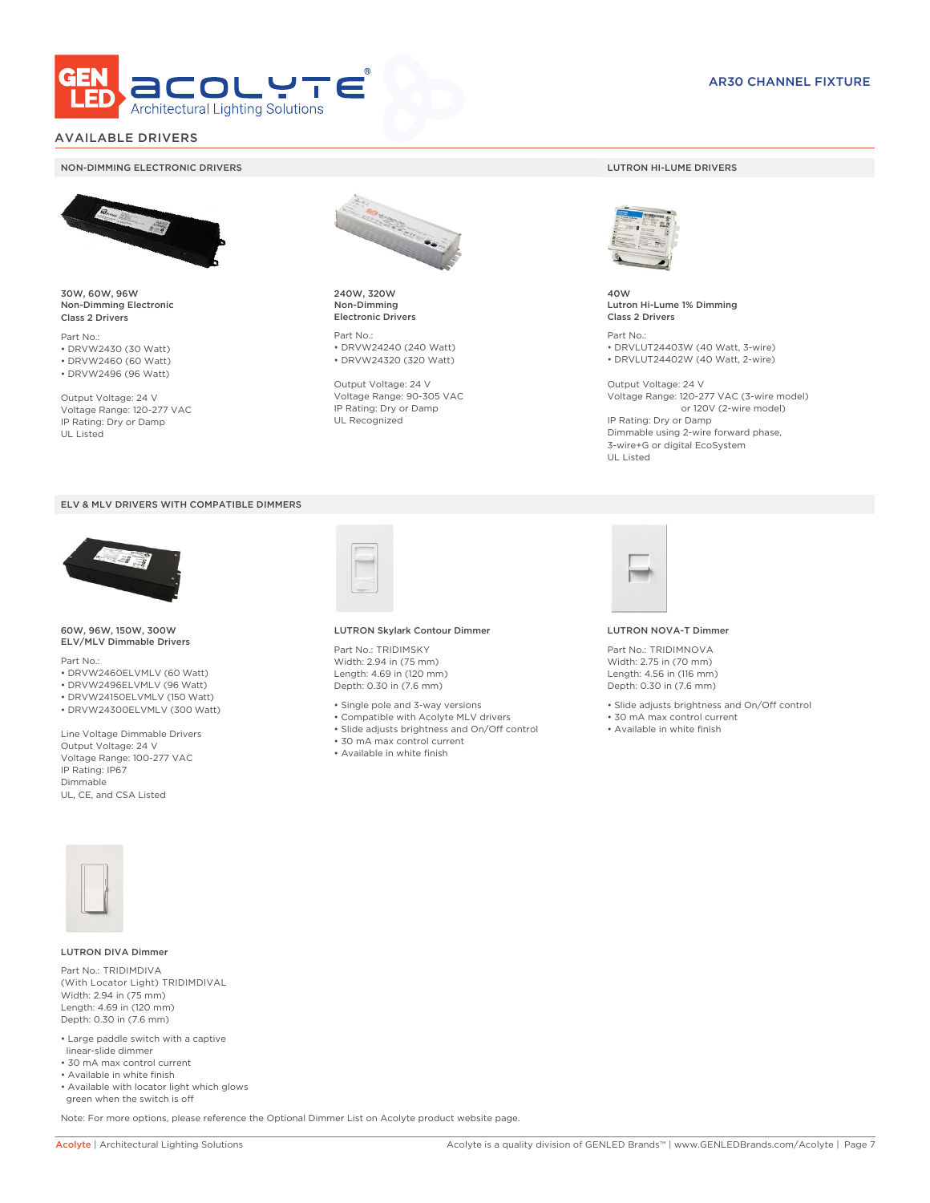

# AVAILABLE DRIVERS

## NON-DIMMING ELECTRONIC DRIVERS LUTRON HI-LUME DRIVERS



30W, 60W, 96W Non-Dimming Electronic Class 2 Drivers

Part No.: • DRVW2430 (30 Watt) • DRVW2460 (60 Watt)

• DRVW2496 (96 Watt)

Output Voltage: 24 V Voltage Range: 120-277 VAC IP Rating: Dry or Damp UL Listed





60W, 96W, 150W, 300W ELV/MLV Dimmable Drivers

Part No.:

- DRVW2460ELVMLV (60 Watt)
- DRVW2496ELVMLV (96 Watt)
- DRVW24150ELVMLV (150 Watt)
- DRVW24300ELVMLV (300 Watt)

Line Voltage Dimmable Drivers Output Voltage: 24 V Voltage Range: 100-277 VAC IP Rating: IP67 Dimmable UL, CE, and CSA Listed



240W, 320W Non-Dimming Electronic Drivers

Part No.: • DRVW24240 (240 Watt) • DRVW24320 (320 Watt)

Output Voltage: 24 V Voltage Range: 90-305 VAC IP Rating: Dry or Damp UL Recognized



40W Lutron Hi-Lume 1% Dimming Class 2 Drivers

Part No.: • DRVLUT24403W (40 Watt, 3-wire) • DRVLUT24402W (40 Watt, 2-wire)

Output Voltage: 24 V Voltage Range: 120-277 VAC (3-wire model) or 120V (2-wire model) IP Rating: Dry or Damp Dimmable using 2-wire forward phase, 3-wire+G or digital EcoSystem UL Listed



### LUTRON Skylark Contour Dimmer

Part No.: TRIDIMSKY Width: 2.94 in (75 mm) Length: 4.69 in (120 mm) Depth: 0.30 in (7.6 mm)

- Single pole and 3-way versions
- Compatible with Acolyte MLV drivers
- Slide adjusts brightness and On/Off control
- 30 mA max control current
- Available in white finish



### LUTRON NOVA-T Dimmer

Part No.: TRIDIMNOVA Width: 2.75 in (70 mm) Length: 4.56 in (116 mm) Depth: 0.30 in (7.6 mm)

- Slide adjusts brightness and On/Off control
- 30 mA max control current
- Available in white finish



## LUTRON DIVA Dimmer

Part No.: TRIDIMDIVA (With Locator Light) TRIDIMDIVAL Width: 2.94 in (75 mm) Length: 4.69 in (120 mm) Depth: 0.30 in (7.6 mm)

- Large paddle switch with a captive linear-slide dimmer
- 30 mA max control current
- Available in white finish
- Available with locator light which glows green when the switch is off

Note: For more options, please reference the Optional Dimmer List on Acolyte product website page.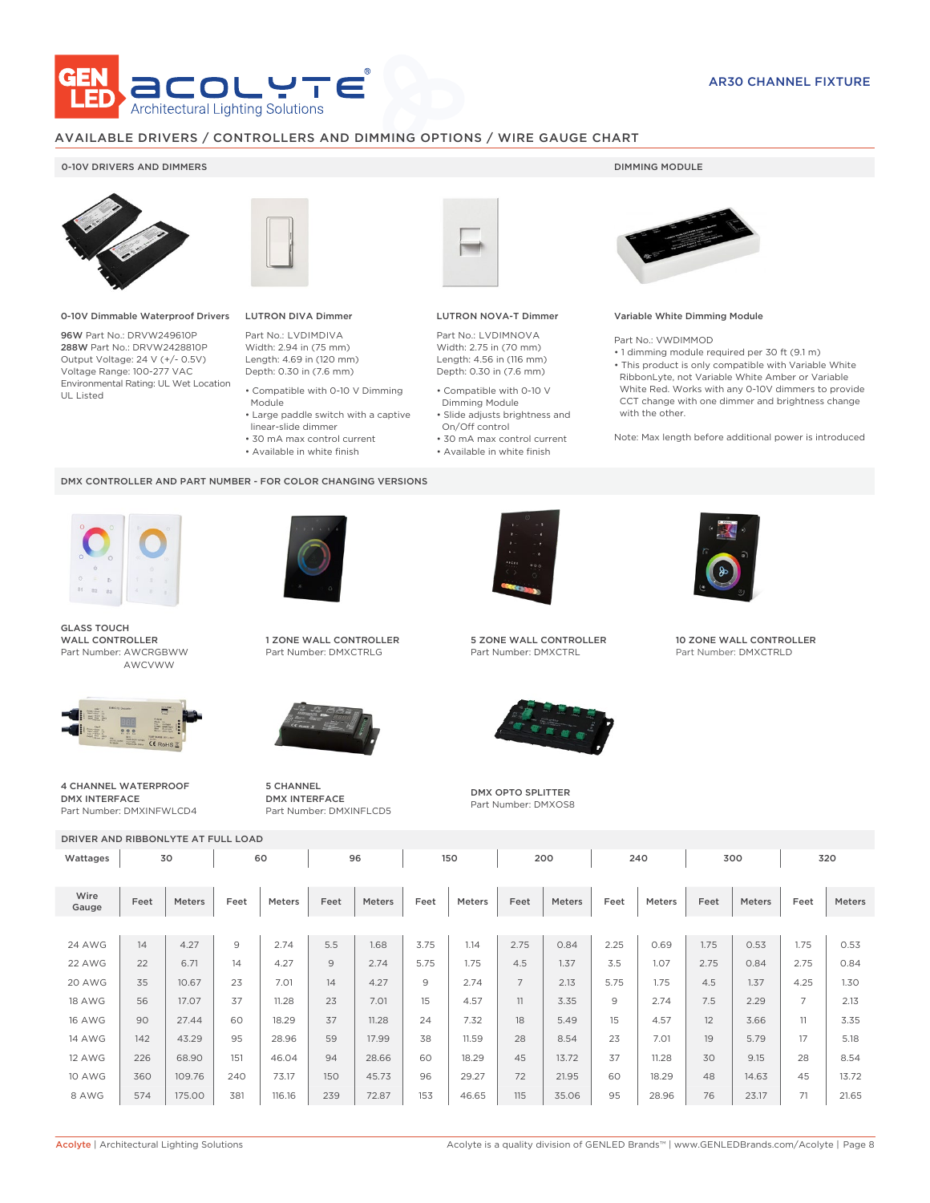

# AVAILABLE DRIVERS / CONTROLLERS AND DIMMING OPTIONS / WIRE GAUGE CHART

## 0-10V DRIVERS AND DIMMERS **DIMMING MODULE**



0-10V Dimmable Waterproof Drivers

96W Part No.: DRVW249610P 288W Part No.: DRVW2428810P Output Voltage: 24 V (+/- 0.5V) Voltage Range: 100-277 VAC Environmental Rating: UL Wet Location UL Listed



# LUTRON DIVA Dimmer

Part No.: LVDIMDIVA Width: 2.94 in (75 mm) Length: 4.69 in (120 mm) Depth: 0.30 in (7.6 mm)

- Compatible with 0-10 V Dimming Module
- Large paddle switch with a captive
- linear-slide dimmer
- 30 mA max control current
- Available in white finish

## DMX CONTROLLER AND PART NUMBER - FOR COLOR CHANGING VERSIONS



GLASS TOUCH WALL CONTROLLER Part Number: AWCRGBWW AWCVWW



4 CHANNEL WATERPROOF DMX INTERFACE Part Number: DMXINFWLCD4



1 ZONE WALL CONTROLLER Part Number: DMXCTRLG



5 CHANNEL DMX INTERFACE Part Number: DMXINFLCD5



## LUTRON NOVA-T Dimmer

Part No.: LVDIMNOVA Width: 2.75 in (70 mm) Length: 4.56 in (116 mm) Depth: 0.30 in (7.6 mm)

- Compatible with 0-10 V Dimming Module
- Slide adjusts brightness and On/Off control
- 30 mA max control current • Available in white finish
	-



## Variable White Dimming Module

Part No.: VWDIMMOD

• 1 dimming module required per 30 ft (9.1 m) • This product is only compatible with Variable White RibbonLyte, not Variable White Amber or Variable White Red. Works with any 0-10V dimmers to provide CCT change with one dimmer and brightness change with the other.

Note: Max length before additional power is introduced



5 ZONE WALL CONTROLLER Part Number: DMXCTRL



DMX OPTO SPLITTER Part Number: DMXOS8



10 ZONE WALL CONTROLLER Part Number: DMXCTRLD

|               | DRIVER AND RIBBONLYTE AT FULL LOAD |        |      |               |      |        |      |               |                |        |      |        |      |        |                |        |  |
|---------------|------------------------------------|--------|------|---------------|------|--------|------|---------------|----------------|--------|------|--------|------|--------|----------------|--------|--|
| Wattages      | 30                                 |        | 60   |               | 96   |        |      | 150           |                | 200    |      | 240    |      | 300    |                | 320    |  |
| Wire<br>Gauge | Feet                               | Meters | Feet | <b>Meters</b> | Feet | Meters | Feet | <b>Meters</b> | Feet           | Meters | Feet | Meters | Feet | Meters | Feet           | Meters |  |
| <b>24 AWG</b> | 14                                 | 4.27   | 9    | 2.74          | 5.5  | 1.68   | 3.75 | 1.14          | 2.75           | 0.84   | 2.25 | 0.69   | 1.75 | 0.53   | 1.75           | 0.53   |  |
| 22 AWG        | 22                                 | 6.71   | 14   | 4.27          | 9    | 2.74   | 5.75 | 1.75          | 4.5            | 1.37   | 3.5  | 1.07   | 2.75 | 0.84   | 2.75           | 0.84   |  |
| 20 AWG        | 35                                 | 10.67  | 23   | 7.01          | 14   | 4.27   | 9    | 2.74          | $\overline{7}$ | 2.13   | 5.75 | 1.75   | 4.5  | 1.37   | 4.25           | 1.30   |  |
| <b>18 AWG</b> | 56                                 | 17.07  | 37   | 11.28         | 23   | 7.01   | 15   | 4.57          | 11             | 3.35   | 9    | 2.74   | 7.5  | 2.29   | $\overline{7}$ | 2.13   |  |
| <b>16 AWG</b> | 90                                 | 27.44  | 60   | 18.29         | 37   | 11.28  | 24   | 7.32          | 18             | 5.49   | 15   | 4.57   | 12   | 3.66   | 11             | 3.35   |  |
| <b>14 AWG</b> | 142                                | 43.29  | 95   | 28.96         | 59   | 17.99  | 38   | 11.59         | 28             | 8.54   | 23   | 7.01   | 19   | 5.79   | 17             | 5.18   |  |
| 12 AWG        | 226                                | 68.90  | 151  | 46.04         | 94   | 28.66  | 60   | 18.29         | 45             | 13.72  | 37   | 11.28  | 30   | 9.15   | 28             | 8.54   |  |
| <b>10 AWG</b> | 360                                | 109.76 | 240  | 73.17         | 150  | 45.73  | 96   | 29.27         | 72             | 21.95  | 60   | 18.29  | 48   | 14.63  | 45             | 13.72  |  |
| 8 AWG         | 574                                | 175.00 | 381  | 116.16        | 239  | 72.87  | 153  | 46.65         | 115            | 35.06  | 95   | 28.96  | 76   | 23.17  | 71             | 21.65  |  |